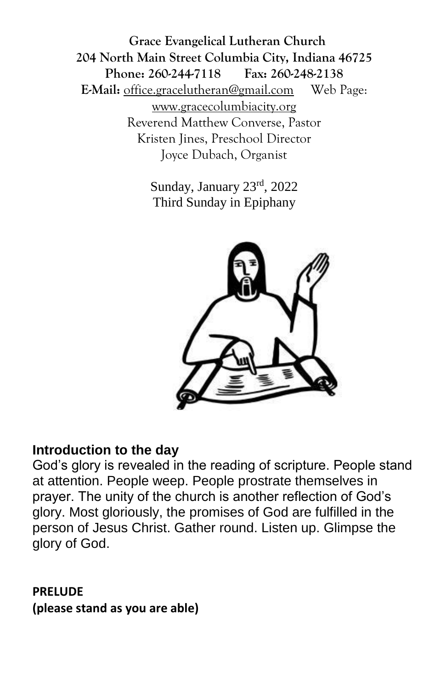**Grace Evangelical Lutheran Church 204 North Main Street Columbia City, Indiana 46725 Phone: 260-244-7118 Fax: 260-248-2138 E-Mail:** office.gracelutheran@gmail.com Web Page: [www.gracecolumbiacity.org](http://www.gracecolumbiacity.org/) Reverend Matthew Converse, Pastor Kristen Jines, Preschool Director Joyce Dubach, Organist

> Sunday, January 23rd, 2022 Third Sunday in Epiphany



#### **Introduction to the day**

God's glory is revealed in the reading of scripture. People stand at attention. People weep. People prostrate themselves in prayer. The unity of the church is another reflection of God's glory. Most gloriously, the promises of God are fulfilled in the person of Jesus Christ. Gather round. Listen up. Glimpse the glory of God.

### **PRELUDE (please stand as you are able)**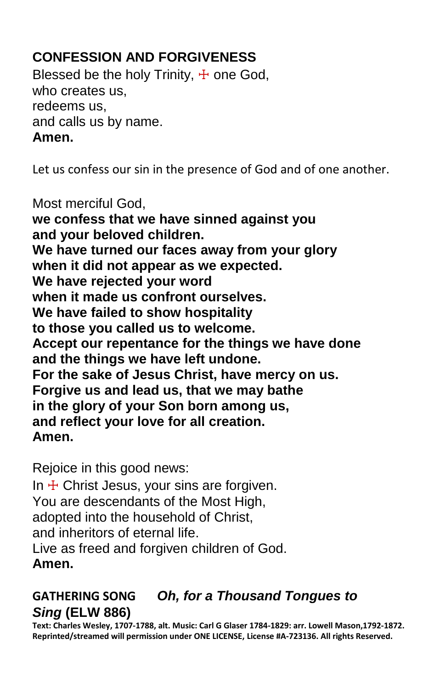# **CONFESSION AND FORGIVENESS**

Blessed be the holy Trinity,  $\pm$  one God, who creates us, redeems us, and calls us by name. **Amen.**

Let us confess our sin in the presence of God and of one another.

Most merciful God, **we confess that we have sinned against you and your beloved children. We have turned our faces away from your glory when it did not appear as we expected. We have rejected your word when it made us confront ourselves. We have failed to show hospitality to those you called us to welcome. Accept our repentance for the things we have done and the things we have left undone. For the sake of Jesus Christ, have mercy on us. Forgive us and lead us, that we may bathe in the glory of your Son born among us, and reflect your love for all creation. Amen.**

Rejoice in this good news:

In  $\pm$  Christ Jesus, your sins are forgiven. You are descendants of the Most High, adopted into the household of Christ, and inheritors of eternal life. Live as freed and forgiven children of God. **Amen.**

# **GATHERING SONG** *Oh, for a Thousand Tongues to Sing* **(ELW 886)**

**Text: Charles Wesley, 1707-1788, alt. Music: Carl G Glaser 1784-1829: arr. Lowell Mason,1792-1872. Reprinted/streamed will permission under ONE LICENSE, License #A-723136. All rights Reserved.**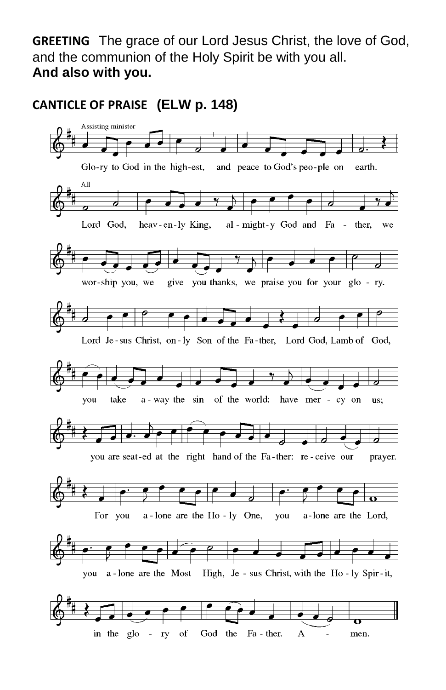**GREETING** The grace of our Lord Jesus Christ, the love of God, and the communion of the Holy Spirit be with you all. **And also with you.**

**CANTICLE OF PRAISE (ELW p. 148)**

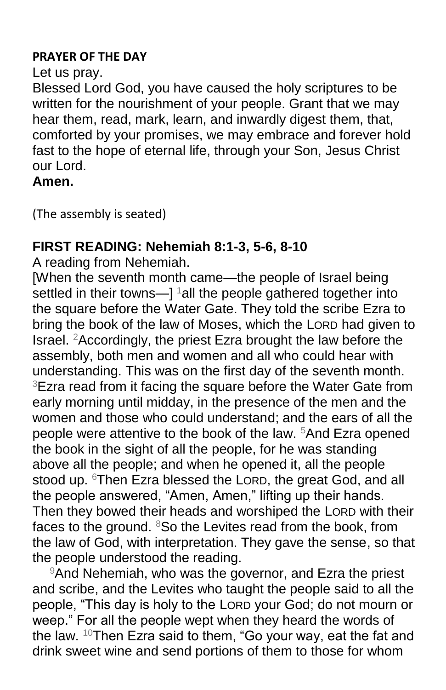#### **PRAYER OF THE DAY**

#### Let us pray.

Blessed Lord God, you have caused the holy scriptures to be written for the nourishment of your people. Grant that we may hear them, read, mark, learn, and inwardly digest them, that, comforted by your promises, we may embrace and forever hold fast to the hope of eternal life, through your Son, Jesus Christ our Lord.

**Amen.**

(The assembly is seated)

# **FIRST READING: Nehemiah 8:1-3, 5-6, 8-10**

A reading from Nehemiah.

[When the seventh month came—the people of Israel being settled in their towns— $\vert$  <sup>1</sup> all the people gathered together into the square before the Water Gate. They told the scribe Ezra to bring the book of the law of Moses, which the LORD had given to Israel. <sup>2</sup>Accordingly, the priest Ezra brought the law before the assembly, both men and women and all who could hear with understanding. This was on the first day of the seventh month. <sup>3</sup>Ezra read from it facing the square before the Water Gate from early morning until midday, in the presence of the men and the women and those who could understand; and the ears of all the people were attentive to the book of the law. <sup>5</sup>And Ezra opened the book in the sight of all the people, for he was standing above all the people; and when he opened it, all the people stood up. <sup>6</sup>Then Ezra blessed the LORD, the great God, and all the people answered, "Amen, Amen," lifting up their hands. Then they bowed their heads and worshiped the LORD with their faces to the ground. <sup>8</sup>So the Levites read from the book, from the law of God, with interpretation. They gave the sense, so that the people understood the reading.

<sup>9</sup>And Nehemiah, who was the governor, and Ezra the priest and scribe, and the Levites who taught the people said to all the people, "This day is holy to the LORD your God; do not mourn or weep." For all the people wept when they heard the words of the law. <sup>10</sup>Then Ezra said to them, "Go your way, eat the fat and drink sweet wine and send portions of them to those for whom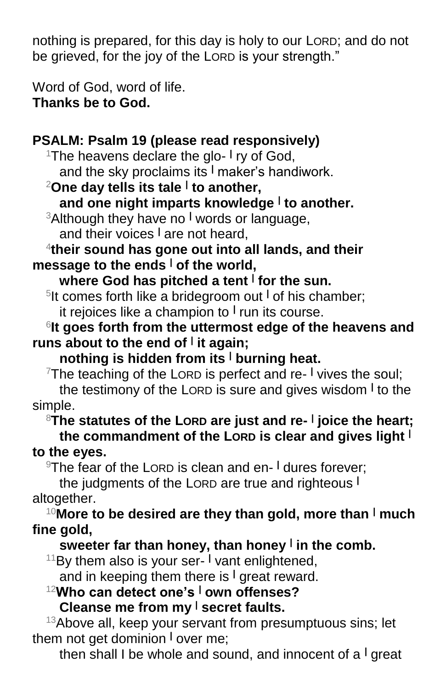nothing is prepared, for this day is holy to our LORD; and do not be grieved, for the joy of the LORD is your strength."

Word of God, word of life. **Thanks be to God.**

# **PSALM: Psalm 19 (please read responsively)**

<sup>1</sup>The heavens declare the glo- I ry of God, and the sky proclaims its **<sup>|</sup>** maker's handiwork.

<sup>2</sup>**One day tells its tale <sup>|</sup> to another,**

**and one night imparts knowledge <sup>|</sup> to another.**

<sup>3</sup>Although they have no **<sup>|</sup>** words or language, and their voices **<sup>|</sup>** are not heard,

4 **their sound has gone out into all lands, and their message to the ends <sup>|</sup> of the world,**

# **where God has pitched a tent <sup>|</sup> for the sun.**

5 It comes forth like a bridegroom out **<sup>|</sup>** of his chamber; it rejoices like a champion to **<sup>|</sup>** run its course.

6 **It goes forth from the uttermost edge of the heavens and runs about to the end of <sup>|</sup> it again;**

**nothing is hidden from its <sup>|</sup> burning heat.**

<sup>7</sup>The teaching of the LORD is perfect and re- I vives the soul;

the testimony of the LORD is sure and gives wisdom **<sup>|</sup>** to the simple.

<sup>8</sup>**The statutes of the LORD are just and re- | joice the heart; the commandment of the LORD is clear and gives light <sup>|</sup> to the eyes.**

<sup>9</sup>The fear of the LORD is clean and en- **<sup>|</sup>** dures forever;

the judgments of the LORD are true and righteous **<sup>|</sup>** altogether.

<sup>10</sup>**More to be desired are they than gold, more than <sup>|</sup> much fine gold,**

# **sweeter far than honey, than honey <sup>|</sup> in the comb.**

<sup>11</sup>By them also is your ser- **<sup>|</sup>** vant enlightened, and in keeping them there is **<sup>|</sup>** great reward.

<sup>12</sup>**Who can detect one's <sup>|</sup> own offenses? Cleanse me from my <sup>|</sup> secret faults.**

 $13A$ bove all, keep your servant from presumptuous sins; let them not get dominion **<sup>|</sup>** over me;

then shall I be whole and sound, and innocent of a **<sup>|</sup>** great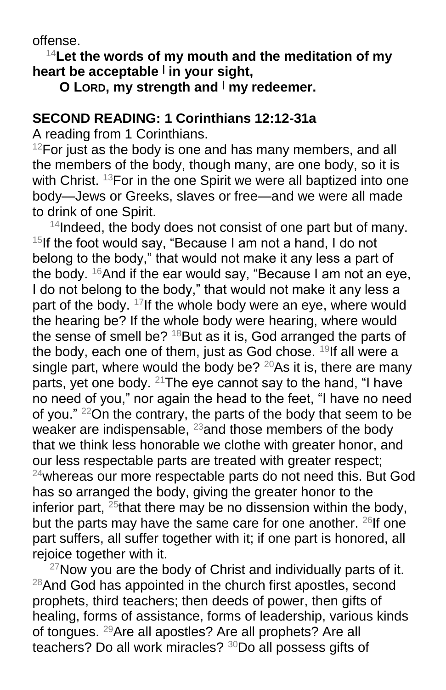offense.

<sup>14</sup>**Let the words of my mouth and the meditation of my heart be acceptable <sup>|</sup> in your sight,**

**O LORD, my strength and <sup>|</sup> my redeemer.**

### **SECOND READING: 1 Corinthians 12:12-31a**

A reading from 1 Corinthians.

 $12$ For just as the body is one and has many members, and all the members of the body, though many, are one body, so it is with Christ. <sup>13</sup>For in the one Spirit we were all baptized into one body—Jews or Greeks, slaves or free—and we were all made to drink of one Spirit.

 $14$ Indeed, the body does not consist of one part but of many.  $15$ If the foot would say, "Because I am not a hand, I do not belong to the body," that would not make it any less a part of the body.  $16$ And if the ear would say, "Because I am not an eye, I do not belong to the body," that would not make it any less a part of the body. <sup>17</sup>If the whole body were an eye, where would the hearing be? If the whole body were hearing, where would the sense of smell be? <sup>18</sup>But as it is, God arranged the parts of the body, each one of them, just as God chose. <sup>19</sup>If all were a single part, where would the body be?  $20As$  it is, there are many parts, yet one body.  $21$ The eye cannot say to the hand, "I have no need of you," nor again the head to the feet, "I have no need of you." <sup>22</sup>On the contrary, the parts of the body that seem to be weaker are indispensable,  $^{23}$  and those members of the body that we think less honorable we clothe with greater honor, and our less respectable parts are treated with greater respect; <sup>24</sup>whereas our more respectable parts do not need this. But God has so arranged the body, giving the greater honor to the inferior part, <sup>25</sup>that there may be no dissension within the body, but the parts may have the same care for one another.  $26$ If one part suffers, all suffer together with it; if one part is honored, all rejoice together with it.

 $27$ Now you are the body of Christ and individually parts of it. <sup>28</sup>And God has appointed in the church first apostles, second prophets, third teachers; then deeds of power, then gifts of healing, forms of assistance, forms of leadership, various kinds of tongues. <sup>29</sup>Are all apostles? Are all prophets? Are all teachers? Do all work miracles? 30Do all possess gifts of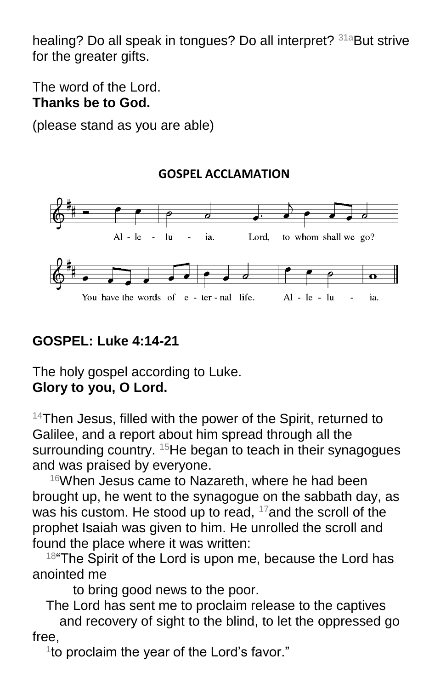healing? Do all speak in tongues? Do all interpret? <sup>31a</sup>But strive for the greater gifts.

The word of the Lord. **Thanks be to God.**

(please stand as you are able)

#### lu to whom shall we go? Al - le ia. Lord. You have the words of e - ter - nal life.  $Al - le - lu$ ia.

# **GOSPEL: Luke 4:14-21**

The holy gospel according to Luke. **Glory to you, O Lord.**

<sup>14</sup>Then Jesus, filled with the power of the Spirit, returned to Galilee, and a report about him spread through all the surrounding country. <sup>15</sup>He began to teach in their synagogues and was praised by everyone.

<sup>16</sup>When Jesus came to Nazareth, where he had been brought up, he went to the synagogue on the sabbath day, as was his custom. He stood up to read,  $17$  and the scroll of the prophet Isaiah was given to him. He unrolled the scroll and found the place where it was written:

 $18^{\circ}$ The Spirit of the Lord is upon me, because the Lord has anointed me

to bring good news to the poor.

The Lord has sent me to proclaim release to the captives and recovery of sight to the blind, to let the oppressed go free,

<sup>1</sup> to proclaim the year of the Lord's favor."

## **GOSPEL ACCLAMATION**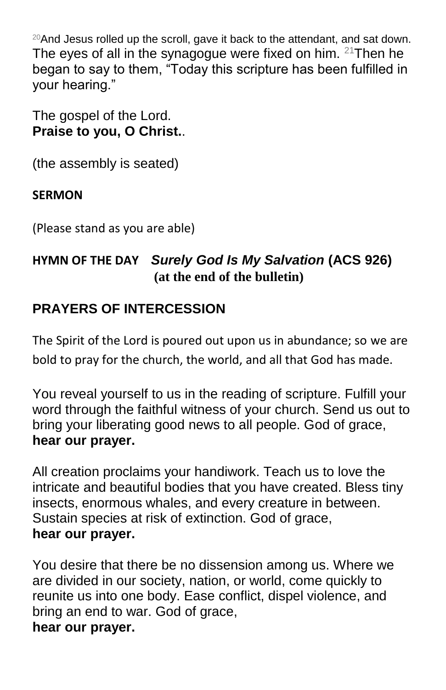$20$ And Jesus rolled up the scroll, gave it back to the attendant, and sat down. The eyes of all in the synagogue were fixed on him.  $21$ Then he began to say to them, "Today this scripture has been fulfilled in your hearing."

The gospel of the Lord. **Praise to you, O Christ.**.

(the assembly is seated)

## **SERMON**

(Please stand as you are able)

# **HYMN OF THE DAY** *Surely God Is My Salvation* **(ACS 926) (at the end of the bulletin)**

# **PRAYERS OF INTERCESSION**

The Spirit of the Lord is poured out upon us in abundance; so we are bold to pray for the church, the world, and all that God has made.

You reveal yourself to us in the reading of scripture. Fulfill your word through the faithful witness of your church. Send us out to bring your liberating good news to all people. God of grace, **hear our prayer.**

All creation proclaims your handiwork. Teach us to love the intricate and beautiful bodies that you have created. Bless tiny insects, enormous whales, and every creature in between. Sustain species at risk of extinction. God of grace, **hear our prayer.**

You desire that there be no dissension among us. Where we are divided in our society, nation, or world, come quickly to reunite us into one body. Ease conflict, dispel violence, and bring an end to war. God of grace, **hear our prayer.**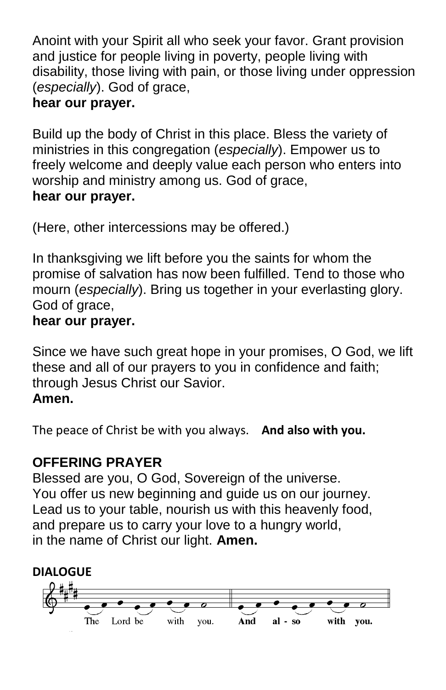Anoint with your Spirit all who seek your favor. Grant provision and justice for people living in poverty, people living with disability, those living with pain, or those living under oppression (*especially*). God of grace,

# **hear our prayer.**

Build up the body of Christ in this place. Bless the variety of ministries in this congregation (*especially*). Empower us to freely welcome and deeply value each person who enters into worship and ministry among us. God of grace, **hear our prayer.**

(Here, other intercessions may be offered.)

In thanksgiving we lift before you the saints for whom the promise of salvation has now been fulfilled. Tend to those who mourn (*especially*). Bring us together in your everlasting glory. God of grace,

## **hear our prayer.**

Since we have such great hope in your promises, O God, we lift these and all of our prayers to you in confidence and faith; through Jesus Christ our Savior.

## **Amen.**

The peace of Christ be with you always. **And also with you.**

# **OFFERING PRAYER**

Blessed are you, O God, Sovereign of the universe. You offer us new beginning and guide us on our journey. Lead us to your table, nourish us with this heavenly food, and prepare us to carry your love to a hungry world, in the name of Christ our light. **Amen.**

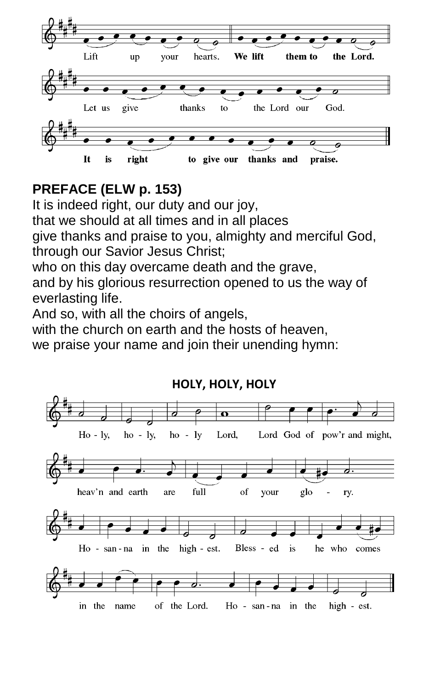

# **PREFACE (ELW p. 153)**

It is indeed right, our duty and our joy, that we should at all times and in all places give thanks and praise to you, almighty and merciful God, through our Savior Jesus Christ; who on this day overcame death and the grave,

and by his glorious resurrection opened to us the way of everlasting life.

And so, with all the choirs of angels,

with the church on earth and the hosts of heaven.

we praise your name and join their unending hymn:



#### **HOLY, HOLY, HOLY**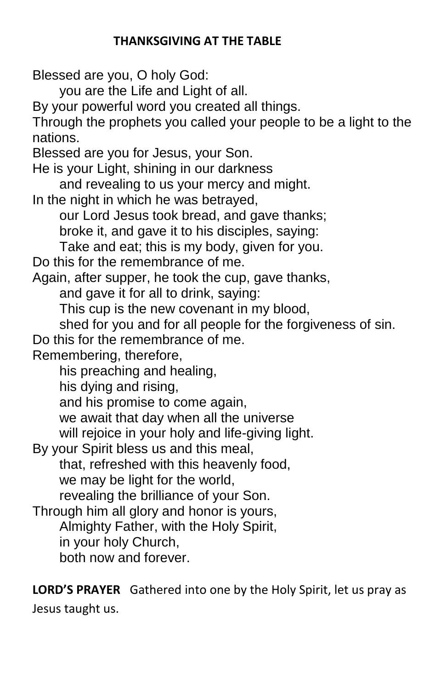#### **THANKSGIVING AT THE TABLE**

Blessed are you, O holy God:

you are the Life and Light of all.

By your powerful word you created all things.

Through the prophets you called your people to be a light to the nations.

Blessed are you for Jesus, your Son.

He is your Light, shining in our darkness

and revealing to us your mercy and might.

In the night in which he was betrayed,

our Lord Jesus took bread, and gave thanks;

broke it, and gave it to his disciples, saying:

Take and eat; this is my body, given for you.

Do this for the remembrance of me.

Again, after supper, he took the cup, gave thanks,

and gave it for all to drink, saying:

This cup is the new covenant in my blood,

shed for you and for all people for the forgiveness of sin.

Do this for the remembrance of me.

Remembering, therefore,

his preaching and healing,

his dying and rising,

and his promise to come again,

we await that day when all the universe

will rejoice in your holy and life-giving light.

By your Spirit bless us and this meal,

that, refreshed with this heavenly food,

we may be light for the world,

revealing the brilliance of your Son.

Through him all glory and honor is yours, Almighty Father, with the Holy Spirit, in your holy Church, both now and forever.

**LORD'S PRAYER** Gathered into one by the Holy Spirit, let us pray as Jesus taught us.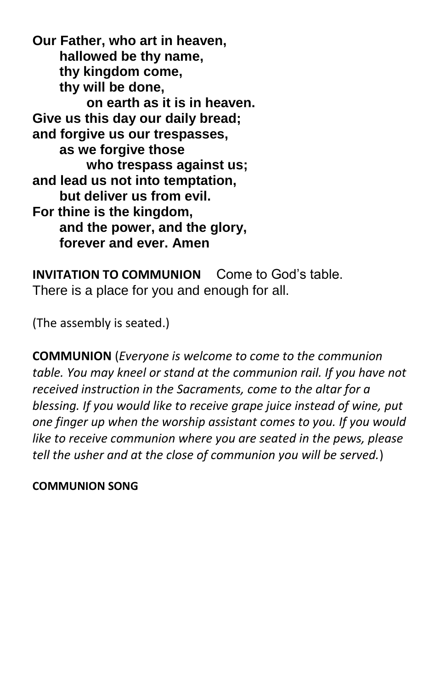**Our Father, who art in heaven, hallowed be thy name, thy kingdom come, thy will be done, on earth as it is in heaven. Give us this day our daily bread; and forgive us our trespasses, as we forgive those who trespass against us; and lead us not into temptation, but deliver us from evil. For thine is the kingdom, and the power, and the glory, forever and ever. Amen**

**INVITATION TO COMMUNION** Come to God's table. There is a place for you and enough for all.

(The assembly is seated.)

**COMMUNION** (*Everyone is welcome to come to the communion table. You may kneel or stand at the communion rail. If you have not received instruction in the Sacraments, come to the altar for a blessing. If you would like to receive grape juice instead of wine, put one finger up when the worship assistant comes to you. If you would like to receive communion where you are seated in the pews, please tell the usher and at the close of communion you will be served.*)

#### **COMMUNION SONG**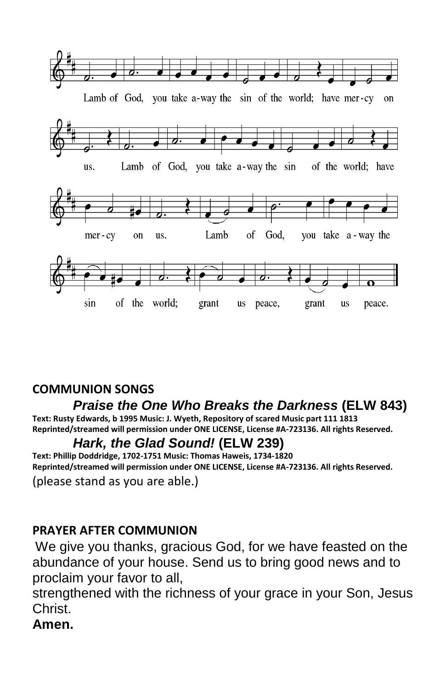

## **COMMUNION SONGS**

## *Praise the One Who Breaks the Darkness* **(ELW 843)**

**Text: Rusty Edwards, b 1995 Music: J. Wyeth, Repository of scared Music part 111 1813 Reprinted/streamed will permission under ONE LICENSE, License #A-723136. All rights Reserved.**

### *Hark, the Glad Sound!* **(ELW 239)**

**Text: Phillip Doddridge, 1702-1751 Music: Thomas Haweis, 1734-1820 Reprinted/streamed will permission under ONE LICENSE, License #A-723136. All rights Reserved.** (please stand as you are able.)

#### **PRAYER AFTER COMMUNION**

We give you thanks, gracious God, for we have feasted on the abundance of your house. Send us to bring good news and to proclaim your favor to all,

strengthened with the richness of your grace in your Son, Jesus Christ.

**Amen.**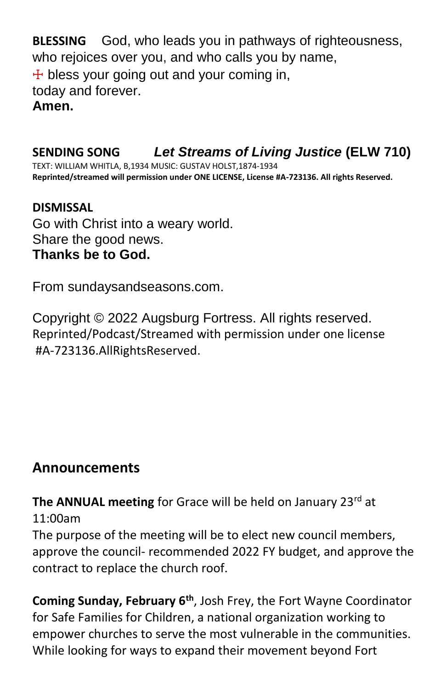**BLESSING** God, who leads you in pathways of righteousness, who rejoices over you, and who calls you by name,  $+$  bless your going out and your coming in, today and forever. **Amen.**

## **SENDING SONG** *Let Streams of Living Justice* **(ELW 710)**

TEXT: WILLIAM WHITLA, B,1934 MUSIC: GUSTAV HOLST,1874-1934 **Reprinted/streamed will permission under ONE LICENSE, License #A-723136. All rights Reserved.**

#### **DISMISSAL**

Go with Christ into a weary world. Share the good news. **Thanks be to God.**

From sundaysandseasons.com.

Copyright © 2022 Augsburg Fortress. All rights reserved. Reprinted/Podcast/Streamed with permission under one license #A-723136.AllRightsReserved.

## **Announcements**

The ANNUAL meeting for Grace will be held on January 23rd at 11:00am

The purpose of the meeting will be to elect new council members, approve the council- recommended 2022 FY budget, and approve the contract to replace the church roof.

**Coming Sunday, February 6th**, Josh Frey, the Fort Wayne Coordinator for Safe Families for Children, a national organization working to empower churches to serve the most vulnerable in the communities. While looking for ways to expand their movement beyond Fort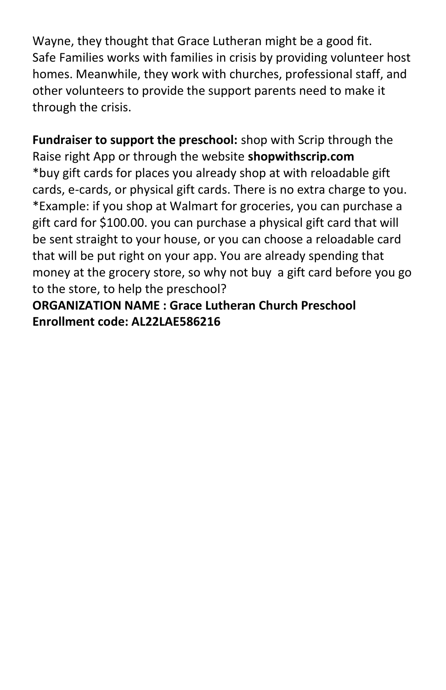Wayne, they thought that Grace Lutheran might be a good fit. Safe Families works with families in crisis by providing volunteer host homes. Meanwhile, they work with churches, professional staff, and other volunteers to provide the support parents need to make it through the crisis.

**Fundraiser to support the preschool:** shop with Scrip through the Raise right App or through the website **shopwithscrip.com** \*buy gift cards for places you already shop at with reloadable gift cards, e-cards, or physical gift cards. There is no extra charge to you. \*Example: if you shop at Walmart for groceries, you can purchase a gift card for \$100.00. you can purchase a physical gift card that will be sent straight to your house, or you can choose a reloadable card that will be put right on your app. You are already spending that money at the grocery store, so why not buy a gift card before you go to the store, to help the preschool?

**ORGANIZATION NAME : Grace Lutheran Church Preschool Enrollment code: AL22LAE586216**